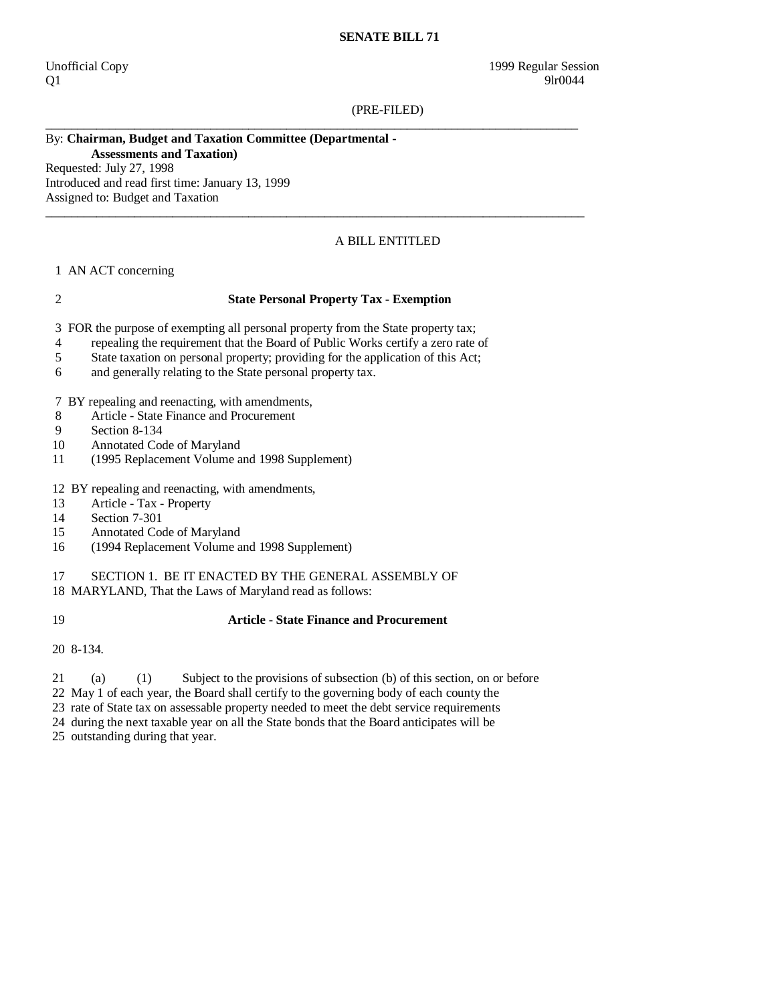### **SENATE BILL 71**

 $Q1$  9lr0044

(PRE-FILED)

## By: **Chairman, Budget and Taxation Committee (Departmental - Assessments and Taxation)**

Requested: July 27, 1998 Introduced and read first time: January 13, 1999 Assigned to: Budget and Taxation

# A BILL ENTITLED

#### 1 AN ACT concerning

## 2 **State Personal Property Tax - Exemption**

\_\_\_\_\_\_\_\_\_\_\_\_\_\_\_\_\_\_\_\_\_\_\_\_\_\_\_\_\_\_\_\_\_\_\_\_\_\_\_\_\_\_\_\_\_\_\_\_\_\_\_\_\_\_\_\_\_\_\_\_\_\_\_\_\_\_\_\_\_\_\_\_\_\_\_\_\_\_\_\_\_\_\_\_

 $\_$  ,  $\_$  ,  $\_$  ,  $\_$  ,  $\_$  ,  $\_$  ,  $\_$  ,  $\_$  ,  $\_$  ,  $\_$  ,  $\_$  ,  $\_$  ,  $\_$  ,  $\_$  ,  $\_$  ,  $\_$  ,  $\_$  ,  $\_$  ,  $\_$  ,  $\_$  ,  $\_$  ,  $\_$  ,  $\_$  ,  $\_$  ,  $\_$  ,  $\_$  ,  $\_$  ,  $\_$  ,  $\_$  ,  $\_$  ,  $\_$  ,  $\_$  ,  $\_$  ,  $\_$  ,  $\_$  ,  $\_$  ,  $\_$  ,

3 FOR the purpose of exempting all personal property from the State property tax;

- 4 repealing the requirement that the Board of Public Works certify a zero rate of
- 5 State taxation on personal property; providing for the application of this Act;
- 6 and generally relating to the State personal property tax.

7 BY repealing and reenacting, with amendments,

- 8 Article State Finance and Procurement<br>9 Section 8-134
- Section 8-134
- 10 Annotated Code of Maryland
- 11 (1995 Replacement Volume and 1998 Supplement)
- 12 BY repealing and reenacting, with amendments,
- 13 Article Tax Property
- 14 Section 7-301
- 15 Annotated Code of Maryland
- 16 (1994 Replacement Volume and 1998 Supplement)

17 SECTION 1. BE IT ENACTED BY THE GENERAL ASSEMBLY OF

18 MARYLAND, That the Laws of Maryland read as follows:

# 19 **Article - State Finance and Procurement**

20 8-134.

- 21 (a) (1) Subject to the provisions of subsection (b) of this section, on or before
- 22 May 1 of each year, the Board shall certify to the governing body of each county the
- 23 rate of State tax on assessable property needed to meet the debt service requirements
- 24 during the next taxable year on all the State bonds that the Board anticipates will be
- 25 outstanding during that year.